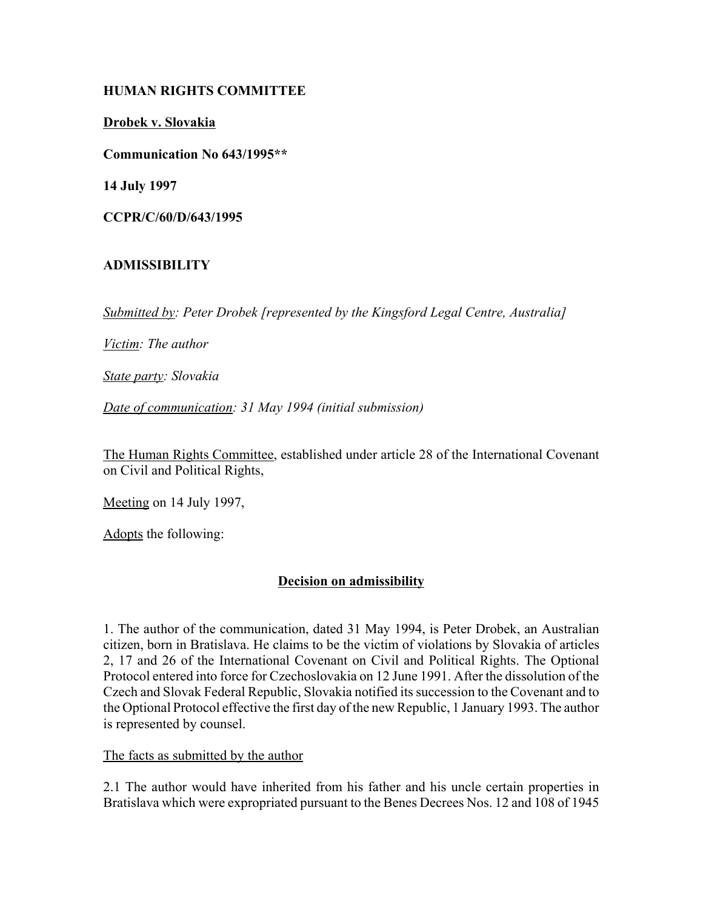## **HUMAN RIGHTS COMMITTEE**

**Drobek v. Slovakia**

**Communication No 643/1995\*\***

**14 July 1997**

**CCPR/C/60/D/643/1995**

## **ADMISSIBILITY**

*Submitted by: Peter Drobek [represented by the Kingsford Legal Centre, Australia]* 

*Victim: The author* 

*State party: Slovakia* 

*Date of communication: 31 May 1994 (initial submission)* 

The Human Rights Committee, established under article 28 of the International Covenant on Civil and Political Rights,

Meeting on 14 July 1997,

Adopts the following:

## **Decision on admissibility**

1. The author of the communication, dated 31 May 1994, is Peter Drobek, an Australian citizen, born in Bratislava. He claims to be the victim of violations by Slovakia of articles 2, 17 and 26 of the International Covenant on Civil and Political Rights. The Optional Protocol entered into force for Czechoslovakia on 12 June 1991. After the dissolution of the Czech and Slovak Federal Republic, Slovakia notified its succession to the Covenant and to the Optional Protocol effective the first day of the new Republic, 1 January 1993. The author is represented by counsel.

The facts as submitted by the author

2.1 The author would have inherited from his father and his uncle certain properties in Bratislava which were expropriated pursuant to the Benes Decrees Nos. 12 and 108 of 1945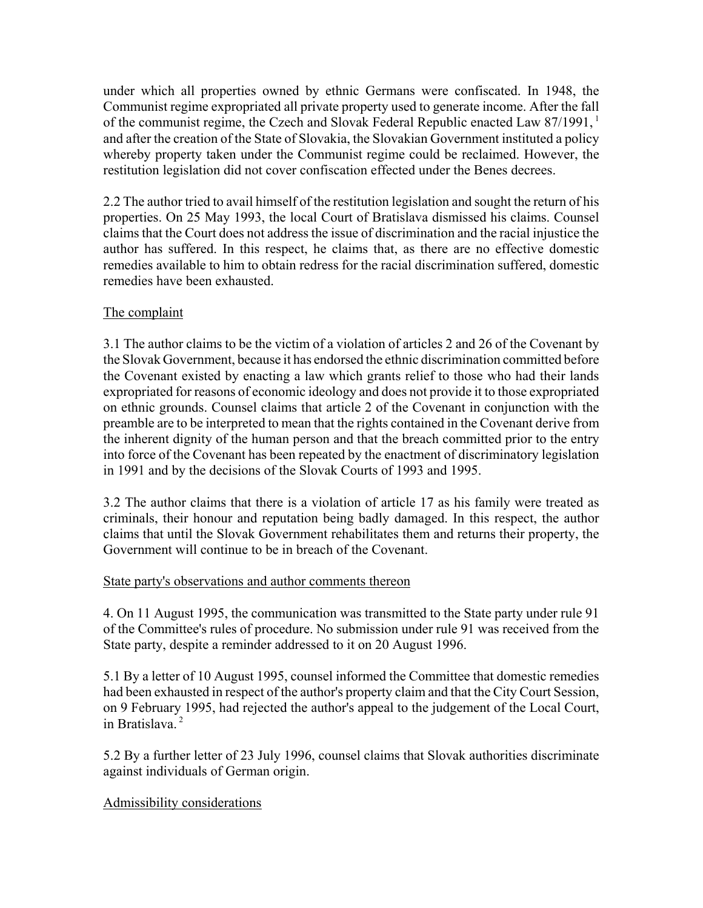under which all properties owned by ethnic Germans were confiscated. In 1948, the Communist regime expropriated all private property used to generate income. After the fall of the communist regime, the Czech and Slovak Federal Republic enacted Law 87/1991, <sup>1</sup> and after the creation of the State of Slovakia, the Slovakian Government instituted a policy whereby property taken under the Communist regime could be reclaimed. However, the restitution legislation did not cover confiscation effected under the Benes decrees.

2.2 The author tried to avail himself of the restitution legislation and sought the return of his properties. On 25 May 1993, the local Court of Bratislava dismissed his claims. Counsel claims that the Court does not address the issue of discrimination and the racial injustice the author has suffered. In this respect, he claims that, as there are no effective domestic remedies available to him to obtain redress for the racial discrimination suffered, domestic remedies have been exhausted.

### The complaint

3.1 The author claims to be the victim of a violation of articles 2 and 26 of the Covenant by the Slovak Government, because it has endorsed the ethnic discrimination committed before the Covenant existed by enacting a law which grants relief to those who had their lands expropriated for reasons of economic ideology and does not provide it to those expropriated on ethnic grounds. Counsel claims that article 2 of the Covenant in conjunction with the preamble are to be interpreted to mean that the rights contained in the Covenant derive from the inherent dignity of the human person and that the breach committed prior to the entry into force of the Covenant has been repeated by the enactment of discriminatory legislation in 1991 and by the decisions of the Slovak Courts of 1993 and 1995.

3.2 The author claims that there is a violation of article 17 as his family were treated as criminals, their honour and reputation being badly damaged. In this respect, the author claims that until the Slovak Government rehabilitates them and returns their property, the Government will continue to be in breach of the Covenant.

#### State party's observations and author comments thereon

4. On 11 August 1995, the communication was transmitted to the State party under rule 91 of the Committee's rules of procedure. No submission under rule 91 was received from the State party, despite a reminder addressed to it on 20 August 1996.

5.1 By a letter of 10 August 1995, counsel informed the Committee that domestic remedies had been exhausted in respect of the author's property claim and that the City Court Session, on 9 February 1995, had rejected the author's appeal to the judgement of the Local Court, in Bratislava<sup>2</sup>

5.2 By a further letter of 23 July 1996, counsel claims that Slovak authorities discriminate against individuals of German origin.

## Admissibility considerations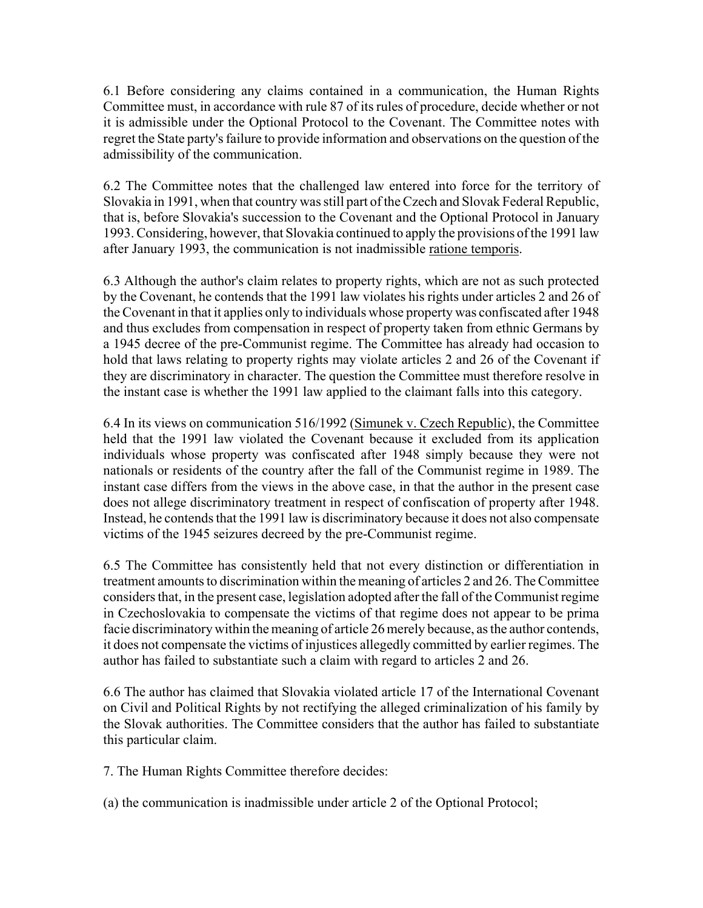6.1 Before considering any claims contained in a communication, the Human Rights Committee must, in accordance with rule 87 of its rules of procedure, decide whether or not it is admissible under the Optional Protocol to the Covenant. The Committee notes with regret the State party's failure to provide information and observations on the question of the admissibility of the communication.

6.2 The Committee notes that the challenged law entered into force for the territory of Slovakia in 1991, when that country was still part of the Czech and Slovak Federal Republic, that is, before Slovakia's succession to the Covenant and the Optional Protocol in January 1993. Considering, however, that Slovakia continued to apply the provisions of the 1991 law after January 1993, the communication is not inadmissible ratione temporis.

6.3 Although the author's claim relates to property rights, which are not as such protected by the Covenant, he contends that the 1991 law violates his rights under articles 2 and 26 of the Covenant in that it applies only to individuals whose property was confiscated after 1948 and thus excludes from compensation in respect of property taken from ethnic Germans by a 1945 decree of the pre-Communist regime. The Committee has already had occasion to hold that laws relating to property rights may violate articles 2 and 26 of the Covenant if they are discriminatory in character. The question the Committee must therefore resolve in the instant case is whether the 1991 law applied to the claimant falls into this category.

6.4 In its views on communication 516/1992 (Simunek v. Czech Republic), the Committee held that the 1991 law violated the Covenant because it excluded from its application individuals whose property was confiscated after 1948 simply because they were not nationals or residents of the country after the fall of the Communist regime in 1989. The instant case differs from the views in the above case, in that the author in the present case does not allege discriminatory treatment in respect of confiscation of property after 1948. Instead, he contends that the 1991 law is discriminatory because it does not also compensate victims of the 1945 seizures decreed by the pre-Communist regime.

6.5 The Committee has consistently held that not every distinction or differentiation in treatment amounts to discrimination within the meaning of articles 2 and 26. The Committee considers that, in the present case, legislation adopted after the fall of the Communist regime in Czechoslovakia to compensate the victims of that regime does not appear to be prima facie discriminatory within the meaning of article 26 merely because, as the author contends, it does not compensate the victims of injustices allegedly committed by earlier regimes. The author has failed to substantiate such a claim with regard to articles 2 and 26.

6.6 The author has claimed that Slovakia violated article 17 of the International Covenant on Civil and Political Rights by not rectifying the alleged criminalization of his family by the Slovak authorities. The Committee considers that the author has failed to substantiate this particular claim.

7. The Human Rights Committee therefore decides:

(a) the communication is inadmissible under article 2 of the Optional Protocol;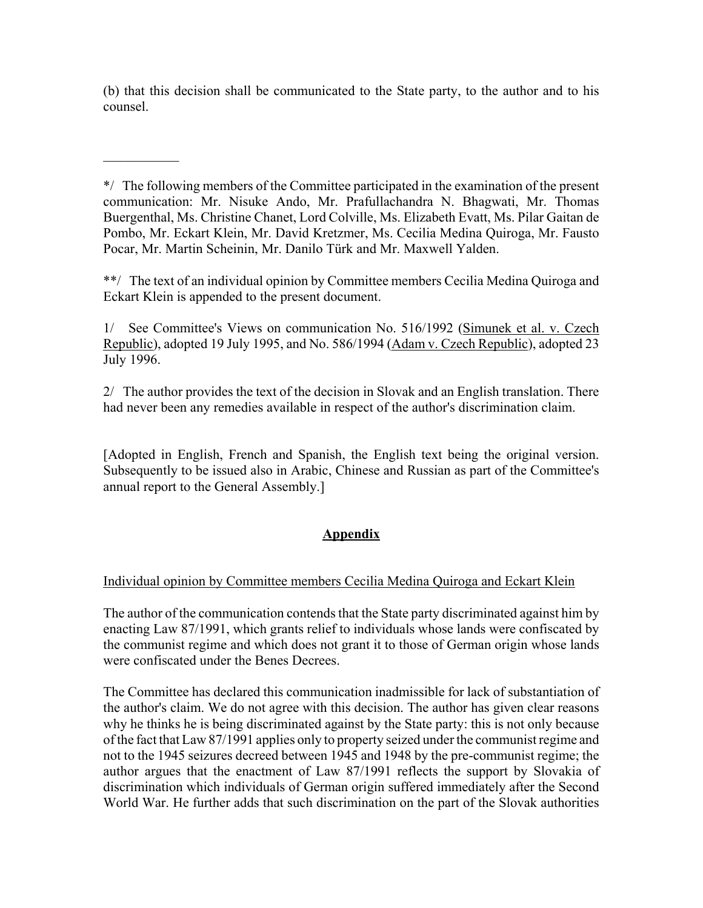(b) that this decision shall be communicated to the State party, to the author and to his counsel.

 $\frac{1}{2}$ 

\*/ The following members of the Committee participated in the examination of the present communication: Mr. Nisuke Ando, Mr. Prafullachandra N. Bhagwati, Mr. Thomas Buergenthal, Ms. Christine Chanet, Lord Colville, Ms. Elizabeth Evatt, Ms. Pilar Gaitan de Pombo, Mr. Eckart Klein, Mr. David Kretzmer, Ms. Cecilia Medina Quiroga, Mr. Fausto Pocar, Mr. Martin Scheinin, Mr. Danilo Türk and Mr. Maxwell Yalden.

\*\*/ The text of an individual opinion by Committee members Cecilia Medina Quiroga and Eckart Klein is appended to the present document.

1/ See Committee's Views on communication No. 516/1992 (Simunek et al. v. Czech Republic), adopted 19 July 1995, and No. 586/1994 (Adam v. Czech Republic), adopted 23 July 1996.

2/ The author provides the text of the decision in Slovak and an English translation. There had never been any remedies available in respect of the author's discrimination claim.

[Adopted in English, French and Spanish, the English text being the original version. Subsequently to be issued also in Arabic, Chinese and Russian as part of the Committee's annual report to the General Assembly.]

# **Appendix**

# Individual opinion by Committee members Cecilia Medina Quiroga and Eckart Klein

The author of the communication contends that the State party discriminated against him by enacting Law 87/1991, which grants relief to individuals whose lands were confiscated by the communist regime and which does not grant it to those of German origin whose lands were confiscated under the Benes Decrees.

The Committee has declared this communication inadmissible for lack of substantiation of the author's claim. We do not agree with this decision. The author has given clear reasons why he thinks he is being discriminated against by the State party: this is not only because of the fact that Law 87/1991 applies only to property seized under the communist regime and not to the 1945 seizures decreed between 1945 and 1948 by the pre-communist regime; the author argues that the enactment of Law 87/1991 reflects the support by Slovakia of discrimination which individuals of German origin suffered immediately after the Second World War. He further adds that such discrimination on the part of the Slovak authorities